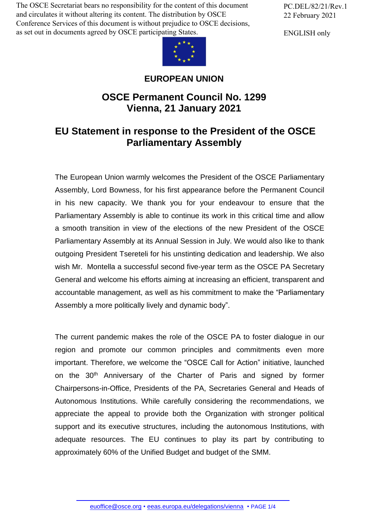The OSCE Secretariat bears no responsibility for the content of this document and circulates it without altering its content. The distribution by OSCE Conference Services of this document is without prejudice to OSCE decisions, as set out in documents agreed by OSCE participating States.



## **EUROPEAN UNION**

## **OSCE Permanent Council No. 1299 Vienna, 21 January 2021**

## **EU Statement in response to the President of the OSCE Parliamentary Assembly**

The European Union warmly welcomes the President of the OSCE Parliamentary Assembly, Lord Bowness, for his first appearance before the Permanent Council in his new capacity. We thank you for your endeavour to ensure that the Parliamentary Assembly is able to continue its work in this critical time and allow a smooth transition in view of the elections of the new President of the OSCE Parliamentary Assembly at its Annual Session in July. We would also like to thank outgoing President Tsereteli for his unstinting dedication and leadership. We also wish Mr. Montella a successful second five-year term as the OSCE PA Secretary General and welcome his efforts aiming at increasing an efficient, transparent and accountable management, as well as his commitment to make the "Parliamentary Assembly a more politically lively and dynamic body".

The current pandemic makes the role of the OSCE PA to foster dialogue in our region and promote our common principles and commitments even more important. Therefore, we welcome the "OSCE Call for Action" initiative, launched on the 30<sup>th</sup> Anniversary of the Charter of Paris and signed by former Chairpersons-in-Office, Presidents of the PA, Secretaries General and Heads of Autonomous Institutions. While carefully considering the recommendations, we appreciate the appeal to provide both the Organization with stronger political support and its executive structures, including the autonomous Institutions, with adequate resources. The EU continues to play its part by contributing to approximately 60% of the Unified Budget and budget of the SMM.

PC.DEL/82/21/Rev.1 22 February 2021

ENGLISH only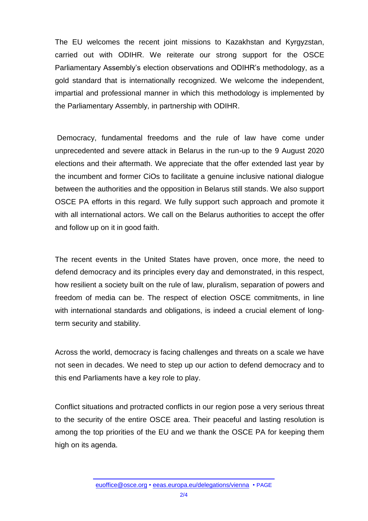The EU welcomes the recent joint missions to Kazakhstan and Kyrgyzstan, carried out with ODIHR. We reiterate our strong support for the OSCE Parliamentary Assembly's election observations and ODIHR's methodology, as a gold standard that is internationally recognized. We welcome the independent, impartial and professional manner in which this methodology is implemented by the Parliamentary Assembly, in partnership with ODIHR.

Democracy, fundamental freedoms and the rule of law have come under unprecedented and severe attack in Belarus in the run-up to the 9 August 2020 elections and their aftermath. We appreciate that the offer extended last year by the incumbent and former CiOs to facilitate a genuine inclusive national dialogue between the authorities and the opposition in Belarus still stands. We also support OSCE PA efforts in this regard. We fully support such approach and promote it with all international actors. We call on the Belarus authorities to accept the offer and follow up on it in good faith.

The recent events in the United States have proven, once more, the need to defend democracy and its principles every day and demonstrated, in this respect, how resilient a society built on the rule of law, pluralism, separation of powers and freedom of media can be. The respect of election OSCE commitments, in line with international standards and obligations, is indeed a crucial element of longterm security and stability.

Across the world, democracy is facing challenges and threats on a scale we have not seen in decades. We need to step up our action to defend democracy and to this end Parliaments have a key role to play.

Conflict situations and protracted conflicts in our region pose a very serious threat to the security of the entire OSCE area. Their peaceful and lasting resolution is among the top priorities of the EU and we thank the OSCE PA for keeping them high on its agenda.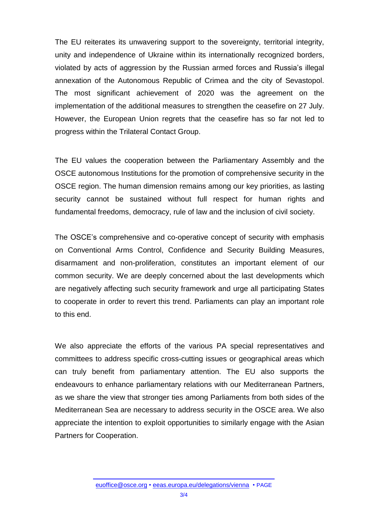The EU reiterates its unwavering support to the sovereignty, territorial integrity, unity and independence of Ukraine within its internationally recognized borders, violated by acts of aggression by the Russian armed forces and Russia's illegal annexation of the Autonomous Republic of Crimea and the city of Sevastopol. The most significant achievement of 2020 was the agreement on the implementation of the additional measures to strengthen the ceasefire on 27 July. However, the European Union regrets that the ceasefire has so far not led to progress within the Trilateral Contact Group.

The EU values the cooperation between the Parliamentary Assembly and the OSCE autonomous Institutions for the promotion of comprehensive security in the OSCE region. The human dimension remains among our key priorities, as lasting security cannot be sustained without full respect for human rights and fundamental freedoms, democracy, rule of law and the inclusion of civil society.

The OSCE's comprehensive and co-operative concept of security with emphasis on Conventional Arms Control, Confidence and Security Building Measures, disarmament and non-proliferation, constitutes an important element of our common security. We are deeply concerned about the last developments which are negatively affecting such security framework and urge all participating States to cooperate in order to revert this trend. Parliaments can play an important role to this end.

We also appreciate the efforts of the various PA special representatives and committees to address specific cross-cutting issues or geographical areas which can truly benefit from parliamentary attention. The EU also supports the endeavours to enhance parliamentary relations with our Mediterranean Partners, as we share the view that stronger ties among Parliaments from both sides of the Mediterranean Sea are necessary to address security in the OSCE area. We also appreciate the intention to exploit opportunities to similarly engage with the Asian Partners for Cooperation.